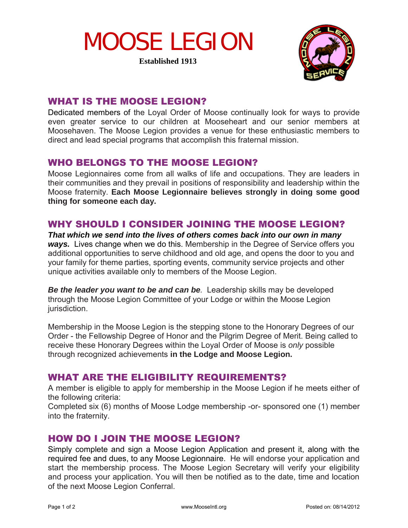# MOOSE LEGION

**Established 1913**



### WHAT IS THE MOOSE LEGION?

Dedicated members of the Loyal Order of Moose continually look for ways to provide even greater service to our children at Mooseheart and our senior members at Moosehaven. The Moose Legion provides a venue for these enthusiastic members to direct and lead special programs that accomplish this fraternal mission.

### WHO BELONGS TO THE MOOSE LEGION?

Moose Legionnaires come from all walks of life and occupations. They are leaders in their communities and they prevail in positions of responsibility and leadership within the Moose fraternity. **Each Moose Legionnaire believes strongly in doing some good thing for someone each day.** 

### WHY SHOULD I CONSIDER JOINING THE MOOSE LEGION?

*That which we send into the lives of others comes back into our own in many ways.* Lives change when we do this. Membership in the Degree of Service offers you additional opportunities to serve childhood and old age, and opens the door to you and your family for theme parties, sporting events, community service projects and other unique activities available only to members of the Moose Legion.

**Be the leader you want to be and can be**. Leadership skills may be developed through the Moose Legion Committee of your Lodge or within the Moose Legion jurisdiction.

Membership in the Moose Legion is the stepping stone to the Honorary Degrees of our Order - the Fellowship Degree of Honor and the Pilgrim Degree of Merit. Being called to receive these Honorary Degrees within the Loyal Order of Moose is *only* possible through recognized achievements **in the Lodge and Moose Legion.** 

### WHAT ARE THE ELIGIBILITY REQUIREMENTS?

A member is eligible to apply for membership in the Moose Legion if he meets either of the following criteria:

Completed six (6) months of Moose Lodge membership -or- sponsored one (1) member into the fraternity.

#### HOW DO I JOIN THE MOOSE LEGION?

Simply complete and sign a Moose Legion Application and present it, along with the required fee and dues, to any Moose Legionnaire. He will endorse your application and start the membership process. The Moose Legion Secretary will verify your eligibility and process your application. You will then be notified as to the date, time and location of the next Moose Legion Conferral.